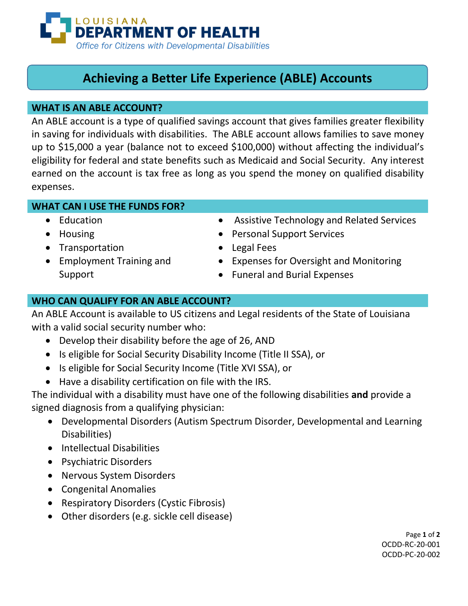

# **Achieving a Better Life Experience (ABLE) Accounts**

# **WHAT IS AN ABLE ACCOUNT?**

An ABLE account is a type of qualified savings account that gives families greater flexibility in saving for individuals with disabilities. The ABLE account allows families to save money up to \$15,000 a year (balance not to exceed \$100,000) without affecting the individual's eligibility for federal and state benefits such as Medicaid and Social Security. Any interest earned on the account is tax free as long as you spend the money on qualified disability expenses.

# **WHAT CAN I USE THE FUNDS FOR?**

- Education
- Housing
- Transportation
- Employment Training and Support
- Assistive Technology and Related Services
- Personal Support Services
- Legal Fees
- Expenses for Oversight and Monitoring
- Funeral and Burial Expenses

# **WHO CAN QUALIFY FOR AN ABLE ACCOUNT?**

An ABLE Account is available to US citizens and Legal residents of the State of Louisiana with a valid social security number who:

- Develop their disability before the age of 26, AND
- Is eligible for Social Security Disability Income (Title II SSA), or
- Is eligible for Social Security Income (Title XVI SSA), or
- Have a disability certification on file with the IRS.

The individual with a disability must have one of the following disabilities **and** provide a signed diagnosis from a qualifying physician:

- Developmental Disorders (Autism Spectrum Disorder, Developmental and Learning Disabilities)
- Intellectual Disabilities
- Psychiatric Disorders
- Nervous System Disorders
- Congenital Anomalies
- Respiratory Disorders (Cystic Fibrosis)
- Other disorders (e.g. sickle cell disease)

Page **1** of **2** OCDD-RC-20-001 OCDD-PC-20-002